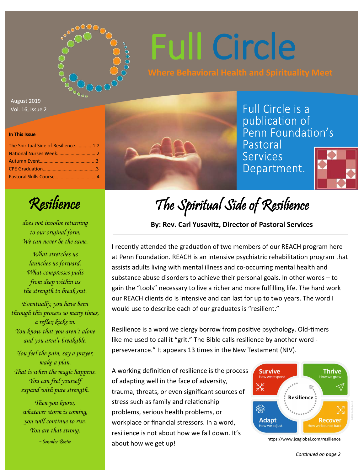

# Full Circle

August 2019 Vol. 16, Issue 2

#### **In This Issue**

| The Spiritual Side of Resilience1-2 |
|-------------------------------------|
|                                     |
|                                     |
|                                     |
|                                     |
|                                     |

Full Circle is a publication of Penn Foundation's Pastoral

**Services** Department.



Resilience

*does not involve returning to our original form. We can never be the same.*

*What stretches us launches us forward. What compresses pulls from deep within us the strength to break out.*

*Eventually, you have been through this process so many times, a reflex kicks in. You know that you aren't alone and you aren't breakable.*

*You feel the pain, say a prayer, make a plan. That is when the magic happens. You can feel yourself expand with pure strength.*

> *Then you know, whatever storm is coming, you will continue to rise. You are that strong.*

> > ~ Jennifer Bostic

The Spiritual Side of Resilience

#### **By: Rev. Carl Yusavitz, Director of Pastoral Services**

I recently attended the graduation of two members of our REACH program here at Penn Foundation. REACH is an intensive psychiatric rehabilitation program that assists adults living with mental illness and co-occurring mental health and substance abuse disorders to achieve their personal goals. In other words – to gain the "tools" necessary to live a richer and more fulfilling life. The hard work our REACH clients do is intensive and can last for up to two years. The word I would use to describe each of our graduates is "resilient."

Resilience is a word we clergy borrow from positive psychology. Old-timers like me used to call it "grit." The Bible calls resilience by another word perseverance." It appears 13 times in the New Testament (NIV).

A working definition of resilience is the process of adapting well in the face of adversity, trauma, threats, or even significant sources of stress such as family and relationship problems, serious health problems, or workplace or financial stressors. In a word, resilience is not about how we fall down. It's about how we get up!



https://www.jcaglobal.com/resilience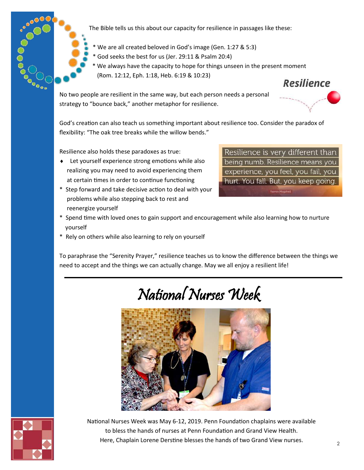

The Bible tells us this about our capacity for resilience in passages like these:

 \* We are all created beloved in God's image (Gen. 1:27 & 5:3) \* God seeks the best for us (Jer. 29:11 & Psalm 20:4) \* We always have the capacity to hope for things unseen in the present moment (Rom. 12:12, Eph. 1:18, Heb. 6:19 & 10:23)

No two people are resilient in the same way, but each person needs a personal strategy to "bounce back," another metaphor for resilience.

**Resilience** 

God's creation can also teach us something important about resilience too. Consider the paradox of flexibility: "The oak tree breaks while the willow bends."

Resilience also holds these paradoxes as true:

- ◆ Let yourself experience strong emotions while also realizing you may need to avoid experiencing them at certain times in order to continue functioning
- \* Step forward and take decisive action to deal with your problems while also stepping back to rest and reenergize yourself

Resilience is very different than being numb. Resilience means you experience, you feel, you fail, you hurt. You fall. But, you keep going.

- \* Spend time with loved ones to gain support and encouragement while also learning how to nurture yourself
- \* Rely on others while also learning to rely on yourself

To paraphrase the "Serenity Prayer," resilience teaches us to know the difference between the things we need to accept and the things we can actually change. May we all enjoy a resilient life!

# National Nurses Week





National Nurses Week was May 6-12, 2019. Penn Foundation chaplains were available to bless the hands of nurses at Penn Foundation and Grand View Health. Here, Chaplain Lorene Derstine blesses the hands of two Grand View nurses.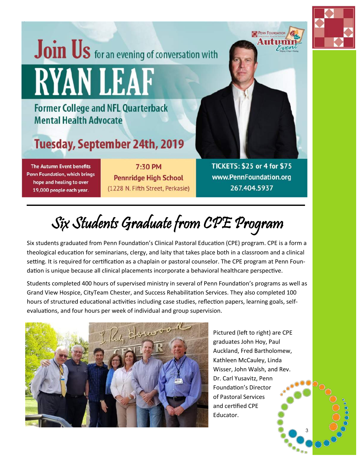# Join Us for an evening of conversation with **RYANLEAE**

## **Former College and NFL Quarterback Mental Health Advocate**

## **Tuesday, September 24th, 2019**

**The Autumn Event benefits** Penn Foundation, which brings hope and healing to over 19,000 people each year.

7:30 PM **Pennridge High School** (1228 N. Fifth Street, Perkasie)



**TICKETS: \$25 or 4 for \$75** www.PennFoundation.org 267.404.5937

Six Students Graduate from CPE Program

Six students graduated from Penn Foundation's Clinical Pastoral Education (CPE) program. CPE is a form a theological education for seminarians, clergy, and laity that takes place both in a classroom and a clinical setting. It is required for certification as a chaplain or pastoral counselor. The CPE program at Penn Foundation is unique because all clinical placements incorporate a behavioral healthcare perspective.

Students completed 400 hours of supervised ministry in several of Penn Foundation's programs as well as Grand View Hospice, CityTeam Chester, and Success Rehabilitation Services. They also completed 100 hours of structured educational activities including case studies, reflection papers, learning goals, selfevaluations, and four hours per week of individual and group supervision.



Pictured (left to right) are CPE graduates John Hoy, Paul Auckland, Fred Bartholomew, Kathleen McCauley, Linda Wisser, John Walsh, and Rev. Dr. Carl Yusavitz, Penn Foundation's Director of Pastoral Services and certified CPE Educator.

3